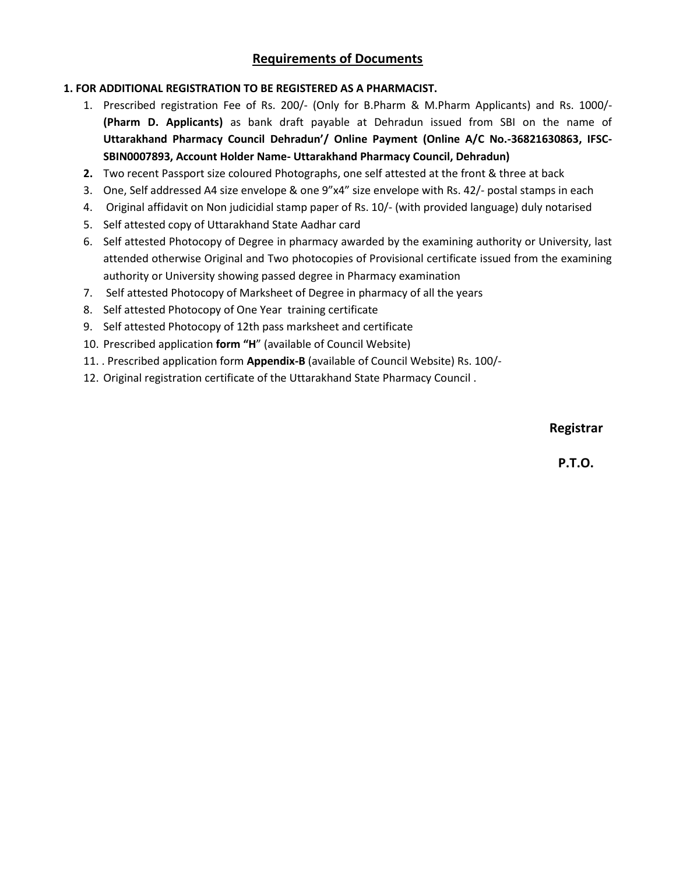## **1. FOR ADDITIONAL REGISTRATION TO BE REGISTERED AS A PHARMACIST.**

- 1. Prescribed registration Fee of Rs. 200/- (Only for B.Pharm & M.Pharm Applicants) and Rs. 1000/- **(Pharm D. Applicants)** as bank draft payable at Dehradun issued from SBI on the name of **Uttarakhand Pharmacy Council Dehradun'/ Online Payment (Online A/C No.-36821630863, IFSC-SBIN0007893, Account Holder Name- Uttarakhand Pharmacy Council, Dehradun)**
- **2.** Two recent Passport size coloured Photographs, one self attested at the front & three at back
- 3. One, Self addressed A4 size envelope & one 9"x4" size envelope with Rs. 42/- postal stamps in each
- 4. Original affidavit on Non judicidial stamp paper of Rs. 10/- (with provided language) duly notarised
- 5. Self attested copy of Uttarakhand State Aadhar card
- 6. Self attested Photocopy of Degree in pharmacy awarded by the examining authority or University, last attended otherwise Original and Two photocopies of Provisional certificate issued from the examining authority or University showing passed degree in Pharmacy examination
- 7. Self attested Photocopy of Marksheet of Degree in pharmacy of all the years
- 8. Self attested Photocopy of One Year training certificate
- 9. Self attested Photocopy of 12th pass marksheet and certificate
- 10. Prescribed application **form "H**" (available of Council Website)
- 11. . Prescribed application form **Appendix-B** (available of Council Website) Rs. 100/-
- 12. Original registration certificate of the Uttarakhand State Pharmacy Council .

## **Registrar**

**P.T.O.**